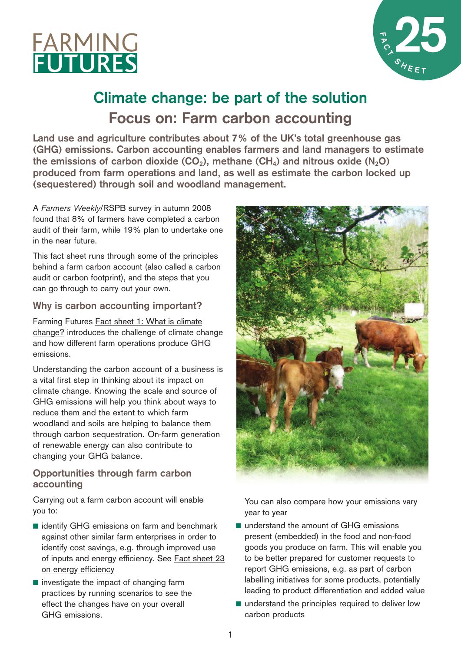



# **Climate change: be part of the solution Focus on: Farm carbon accounting**

**Land use and agriculture contributes about 7% of the UK's total greenhouse gas (GHG) emissions. Carbon accounting enables farmers and land managers to estimate the** emissions of carbon dioxide (CO<sub>2</sub>), methane (CH<sub>4</sub>) and nitrous oxide (N<sub>2</sub>O) **produced from farm operations and land, as well as estimate the carbon locked up (sequestered) through soil and woodland management.**

A *Farmers Weekly*/RSPB survey in autumn 2008 found that 8% of farmers have completed a carbon audit of their farm, while 19% plan to undertake one in the near future.

This fact sheet runs through some of the principles behind a farm carbon account (also called a carbon audit or carbon footprint), and the steps that you can go through to carry out your own.

## **Why is carbon accounting important?**

Farming Futures Fact sheet 1: What is [climate](http://www.farmingfutures.org.uk/x362.xml) [change?](http://www.farmingfutures.org.uk/x362.xml) introduces the challenge of climate change and how different farm operations produce GHG emissions.

Understanding the carbon account of a business is a vital first step in thinking about its impact on climate change. Knowing the scale and source of GHG emissions will help you think about ways to reduce them and the extent to which farm woodland and soils are helping to balance them through carbon sequestration. On-farm generation of renewable energy can also contribute to changing your GHG balance.

# **Opportunities through farm carbon accounting**

Carrying out a farm carbon account will enable you to:

- identify GHG emissions on farm and benchmark against other similar farm enterprises in order to identify cost savings, e.g. through improved use of inputs and energy efficiency. See Fact [sheet](http://www.farmingfutures.org.uk/x360.xml) 23 on energy [efficiency](http://www.farmingfutures.org.uk/x360.xml)
- investigate the impact of changing farm practices by running scenarios to see the effect the changes have on your overall GHG emissions.



You can also compare how your emissions vary year to year

- understand the amount of GHG emissions present (embedded) in the food and non-food goods you produce on farm. This will enable you to be better prepared for customer requests to report GHG emissions, e.g. as part of carbon labelling initiatives for some products, potentially leading to product differentiation and added value
- understand the principles required to deliver low carbon products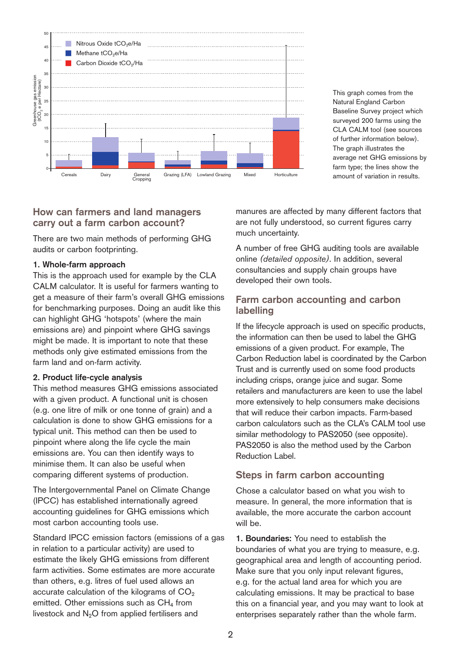

This graph comes from the Natural England Carbon Baseline Survey project which surveyed 200 farms using the CLA CALM tool (see sources of further information below). The graph illustrates the average net GHG emissions by farm type; the lines show the

## **How can farmers and land managers carry out a farm carbon account?**

There are two main methods of performing GHG audits or carbon footprinting.

## **1. Whole-farm approach**

This is the approach used for example by the CLA CALM calculator. It is useful for farmers wanting to get a measure of their farm's overall GHG emissions for benchmarking purposes. Doing an audit like this can highlight GHG 'hotspots' (where the main emissions are) and pinpoint where GHG savings might be made. It is important to note that these methods only give estimated emissions from the farm land and on-farm activity.

#### **2. Product life-cycle analysis**

This method measures GHG emissions associated with a given product. A functional unit is chosen (e.g. one litre of milk or one tonne of grain) and a calculation is done to show GHG emissions for a typical unit. This method can then be used to pinpoint where along the life cycle the main emissions are. You can then identify ways to minimise them. It can also be useful when comparing different systems of production.

The Intergovernmental Panel on Climate Change (IPCC) has established internationally agreed accounting guidelines for GHG emissions which most carbon accounting tools use.

Standard IPCC emission factors (emissions of a gas in relation to a particular activity) are used to estimate the likely GHG emissions from different farm activities. Some estimates are more accurate than others, e.g. litres of fuel used allows an accurate calculation of the kilograms of  $CO<sub>2</sub>$ emitted. Other emissions such as  $CH<sub>4</sub>$  from livestock and  $N<sub>2</sub>O$  from applied fertilisers and

manures are affected by many different factors that are not fully understood, so current figures carry much uncertainty.

A number of free GHG auditing tools are available online *(detailed opposite)*. In addition, several consultancies and supply chain groups have developed their own tools.

## **Farm carbon accounting and carbon labelling**

If the lifecycle approach is used on specific products, the information can then be used to label the GHG emissions of a given product. For example, The Carbon Reduction label is coordinated by the Carbon Trust and is currently used on some food products including crisps, orange juice and sugar. Some retailers and manufacturers are keen to use the label more extensively to help consumers make decisions that will reduce their carbon impacts. Farm-based carbon calculators such as the CLA's CALM tool use similar methodology to PAS2050 (see opposite). PAS2050 is also the method used by the Carbon Reduction Label.

## **Steps in farm carbon accounting**

Chose a calculator based on what you wish to measure. In general, the more information that is available, the more accurate the carbon account will be.

**1. Boundaries:** You need to establish the boundaries of what you are trying to measure, e.g. geographical area and length of accounting period. Make sure that you only input relevant figures, e.g. for the actual land area for which you are calculating emissions. It may be practical to base this on a financial year, and you may want to look at enterprises separately rather than the whole farm.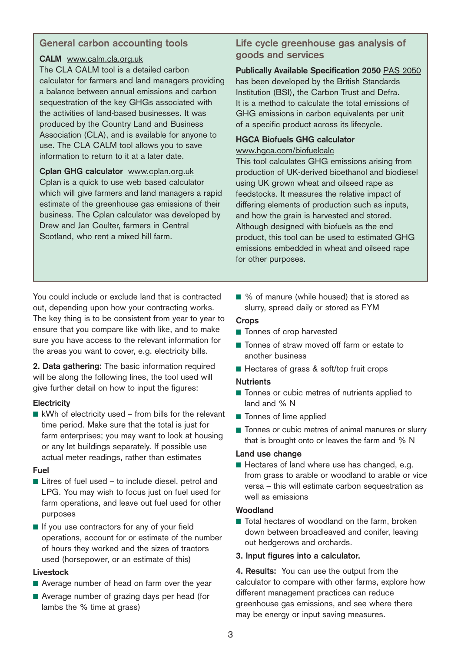# **General carbon accounting tools**

## **CALM** [www.calm.cla.org.uk](http://www.calm.cla.org.uk/)

The CLA CALM tool is a detailed carbon calculator for farmers and land managers providing a balance between annual emissions and carbon sequestration of the key GHGs associated with the activities of land-based businesses. It was produced by the Country Land and Business Association (CLA), and is available for anyone to use. The CLA CALM tool allows you to save information to return to it at a later date.

**Cplan GHG calculator** [www.cplan.org.uk](http://www.cplan.org.uk/) Cplan is a quick to use web based calculator which will give farmers and land managers a rapid estimate of the greenhouse gas emissions of their business. The Cplan calculator was developed by Drew and Jan Coulter, farmers in Central Scotland, who rent a mixed hill farm.

# **Life cycle greenhouse gas analysis of goods and services**

**Publically Available Specification 2050** PAS [2050](http://www.bsi-global.com/PAS2050) has been developed by the British Standards Institution (BSI), the Carbon Trust and Defra. It is a method to calculate the total emissions of GHG emissions in carbon equivalents per unit of a specific product across its lifecycle.

## **HGCA Biofuels GHG calculator**

## <www.hgca.com/biofuelcalc>

This tool calculates GHG emissions arising from production of UK-derived bioethanol and biodiesel using UK grown wheat and oilseed rape as feedstocks. It measures the relative impact of differing elements of production such as inputs, and how the grain is harvested and stored. Although designed with biofuels as the end product, this tool can be used to estimated GHG emissions embedded in wheat and oilseed rape for other purposes.

You could include or exclude land that is contracted out, depending upon how your contracting works. The key thing is to be consistent from year to year to ensure that you compare like with like, and to make sure you have access to the relevant information for the areas you want to cover, e.g. electricity bills.

**2. Data gathering:** The basic information required will be along the following lines, the tool used will give further detail on how to input the figures:

## **Electricity**

■ kWh of electricity used – from bills for the relevant time period. Make sure that the total is just for farm enterprises; you may want to look at housing or any let buildings separately. If possible use actual meter readings, rather than estimates

## **Fuel**

- Litres of fuel used to include diesel, petrol and LPG. You may wish to focus just on fuel used for farm operations, and leave out fuel used for other purposes
- If you use contractors for any of your field operations, account for or estimate of the number of hours they worked and the sizes of tractors used (horsepower, or an estimate of this)

## **Livestock**

- Average number of head on farm over the year
- Average number of grazing days per head (for lambs the % time at grass)

■ % of manure (while housed) that is stored as slurry, spread daily or stored as FYM

## **Crops**

- Tonnes of crop harvested
- Tonnes of straw moved off farm or estate to another business
- Hectares of grass & soft/top fruit crops

## **Nutrients**

- Tonnes or cubic metres of nutrients applied to land and % N
- Tonnes of lime applied
- Tonnes or cubic metres of animal manures or slurry that is brought onto or leaves the farm and % N

## **Land use change**

■ Hectares of land where use has changed, e.g. from grass to arable or woodland to arable or vice versa – this will estimate carbon sequestration as well as emissions

## **Woodland**

■ Total hectares of woodland on the farm, broken down between broadleaved and conifer, leaving out hedgerows and orchards.

## **3. Input figures into a calculator.**

**4. Results:** You can use the output from the calculator to compare with other farms, explore how different management practices can reduce greenhouse gas emissions, and see where there may be energy or input saving measures.